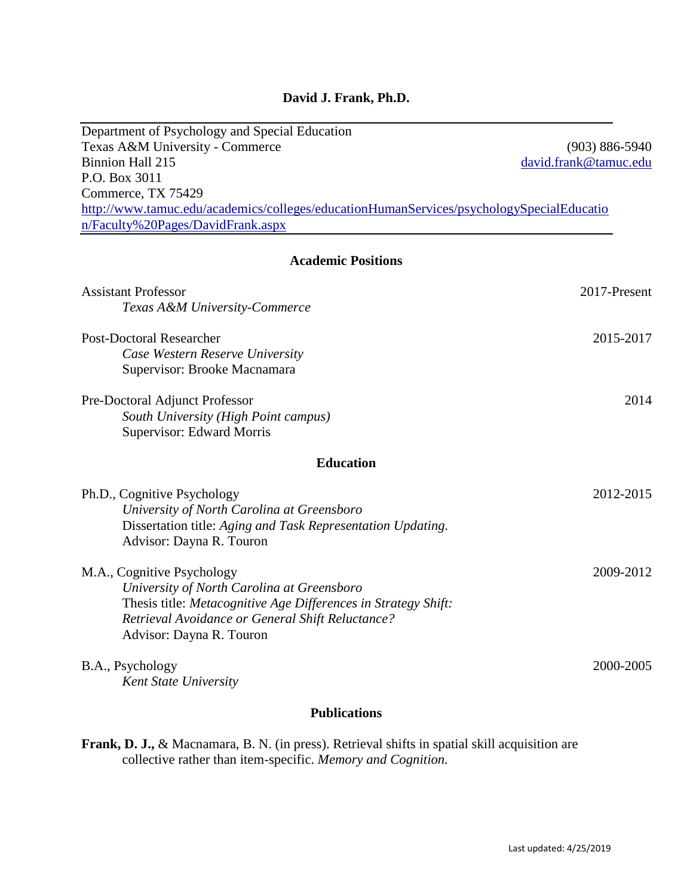# **David J. Frank, Ph.D.**

| Department of Psychology and Special Education                                           |                       |
|------------------------------------------------------------------------------------------|-----------------------|
| Texas A&M University - Commerce                                                          | $(903) 886 - 5940$    |
| Binnion Hall 215                                                                         | david.frank@tamuc.edu |
| P.O. Box 3011                                                                            |                       |
| Commerce, TX 75429                                                                       |                       |
| http://www.tamuc.edu/academics/colleges/educationHumanServices/psychologySpecialEducatio |                       |
| n/Faculty%20Pages/DavidFrank.aspx                                                        |                       |
|                                                                                          |                       |
| <b>Academic Positions</b>                                                                |                       |
| <b>Assistant Professor</b>                                                               | 2017-Present          |
| Texas A&M University-Commerce                                                            |                       |
| <b>Post-Doctoral Researcher</b>                                                          | 2015-2017             |
| Case Western Reserve University                                                          |                       |
| Supervisor: Brooke Macnamara                                                             |                       |
| Pre-Doctoral Adjunct Professor                                                           | 2014                  |
| South University (High Point campus)                                                     |                       |
| Supervisor: Edward Morris                                                                |                       |
| <b>Education</b>                                                                         |                       |
| Ph.D., Cognitive Psychology                                                              | 2012-2015             |
| University of North Carolina at Greensboro                                               |                       |
| Dissertation title: Aging and Task Representation Updating.                              |                       |
| Advisor: Dayna R. Touron                                                                 |                       |
| M.A., Cognitive Psychology                                                               | 2009-2012             |
| University of North Carolina at Greensboro                                               |                       |
| Thesis title: Metacognitive Age Differences in Strategy Shift:                           |                       |
| Retrieval Avoidance or General Shift Reluctance?                                         |                       |
| Advisor: Dayna R. Touron                                                                 |                       |
|                                                                                          |                       |
| B.A., Psychology                                                                         | 2000-2005             |
| <b>Kent State University</b>                                                             |                       |
|                                                                                          |                       |

## **Publications**

| <b>Frank, D. J., &amp; Macnamara, B. N.</b> (in press). Retrieval shifts in spatial skill acquisition are |  |  |
|-----------------------------------------------------------------------------------------------------------|--|--|
| collective rather than item-specific. Memory and Cognition.                                               |  |  |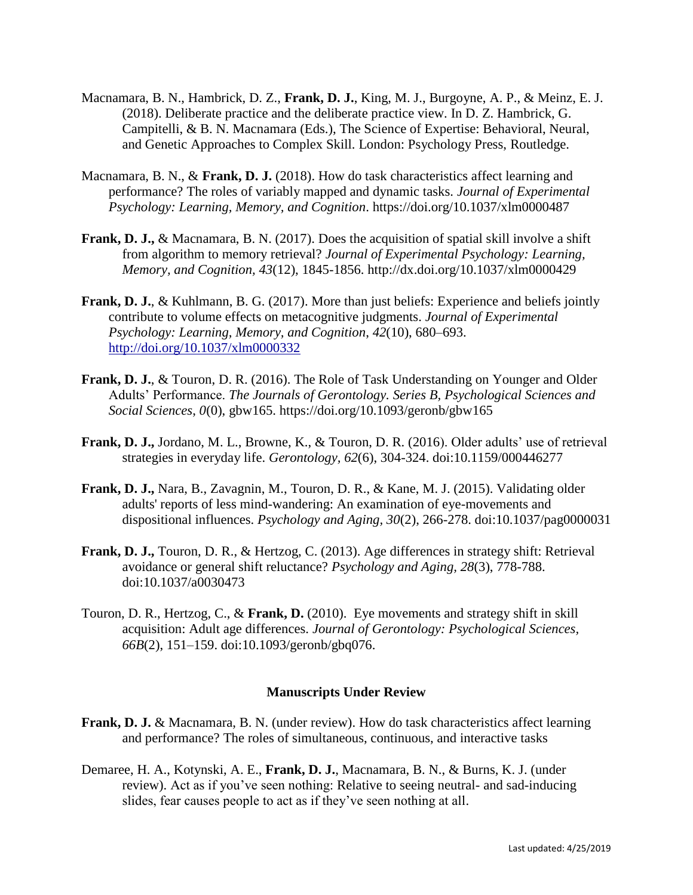- Macnamara, B. N., Hambrick, D. Z., **Frank, D. J.**, King, M. J., Burgoyne, A. P., & Meinz, E. J. (2018). Deliberate practice and the deliberate practice view. In D. Z. Hambrick, G. Campitelli, & B. N. Macnamara (Eds.), The Science of Expertise: Behavioral, Neural, and Genetic Approaches to Complex Skill. London: Psychology Press, Routledge.
- Macnamara, B. N., & **Frank, D. J.** (2018). How do task characteristics affect learning and performance? The roles of variably mapped and dynamic tasks. *Journal of Experimental Psychology: Learning, Memory, and Cognition*. https://doi.org/10.1037/xlm0000487
- **Frank, D. J.,** & Macnamara, B. N. (2017). Does the acquisition of spatial skill involve a shift from algorithm to memory retrieval? *Journal of Experimental Psychology: Learning, Memory, and Cognition, 43*(12), 1845-1856. http://dx.doi.org/10.1037/xlm0000429
- **Frank, D. J.**, & Kuhlmann, B. G. (2017). More than just beliefs: Experience and beliefs jointly contribute to volume effects on metacognitive judgments. *Journal of Experimental Psychology: Learning, Memory, and Cognition*, *42*(10), 680–693. <http://doi.org/10.1037/xlm0000332>
- **Frank, D. J.**, & Touron, D. R. (2016). The Role of Task Understanding on Younger and Older Adults' Performance. *The Journals of Gerontology. Series B, Psychological Sciences and Social Sciences*, *0*(0), gbw165. https://doi.org/10.1093/geronb/gbw165
- **Frank, D. J.,** Jordano, M. L., Browne, K., & Touron, D. R. (2016). Older adults' use of retrieval strategies in everyday life. *Gerontology, 62*(6), 304-324. doi:10.1159/000446277
- **Frank, D. J.,** Nara, B., Zavagnin, M., Touron, D. R., & Kane, M. J. (2015). Validating older adults' reports of less mind-wandering: An examination of eye-movements and dispositional influences. *Psychology and Aging, 30*(2), 266-278. doi:10.1037/pag0000031
- **Frank, D. J.,** Touron, D. R., & Hertzog, C. (2013). Age differences in strategy shift: Retrieval avoidance or general shift reluctance? *Psychology and Aging, 28*(3), 778-788. doi:10.1037/a0030473
- Touron, D. R., Hertzog, C., & **Frank, D.** (2010). Eye movements and strategy shift in skill acquisition: Adult age differences. *Journal of Gerontology: Psychological Sciences, 66B*(2), 151–159. doi:10.1093/geronb/gbq076.

## **Manuscripts Under Review**

- **Frank, D. J.** & Macnamara, B. N. (under review). How do task characteristics affect learning and performance? The roles of simultaneous, continuous, and interactive tasks
- Demaree, H. A., Kotynski, A. E., **Frank, D. J.**, Macnamara, B. N., & Burns, K. J. (under review). Act as if you've seen nothing: Relative to seeing neutral- and sad-inducing slides, fear causes people to act as if they've seen nothing at all.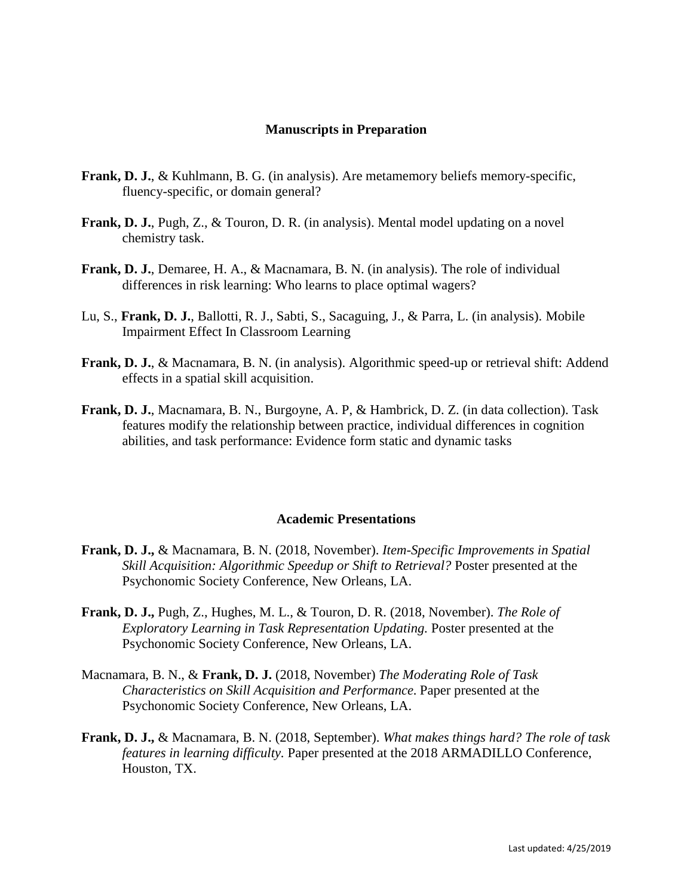### **Manuscripts in Preparation**

- **Frank, D. J.**, & Kuhlmann, B. G. (in analysis). Are metamemory beliefs memory-specific, fluency-specific, or domain general?
- **Frank, D. J.**, Pugh, Z., & Touron, D. R. (in analysis). Mental model updating on a novel chemistry task.
- **Frank, D. J.**, Demaree, H. A., & Macnamara, B. N. (in analysis). The role of individual differences in risk learning: Who learns to place optimal wagers?
- Lu, S., **Frank, D. J.**, Ballotti, R. J., Sabti, S., Sacaguing, J., & Parra, L. (in analysis). Mobile Impairment Effect In Classroom Learning
- **Frank, D. J.**, & Macnamara, B. N. (in analysis). Algorithmic speed-up or retrieval shift: Addend effects in a spatial skill acquisition.
- **Frank, D. J.**, Macnamara, B. N., Burgoyne, A. P, & Hambrick, D. Z. (in data collection). Task features modify the relationship between practice, individual differences in cognition abilities, and task performance: Evidence form static and dynamic tasks

#### **Academic Presentations**

- **Frank, D. J.,** & Macnamara, B. N. (2018, November). *Item-Specific Improvements in Spatial Skill Acquisition: Algorithmic Speedup or Shift to Retrieval?* Poster presented at the Psychonomic Society Conference, New Orleans, LA.
- **Frank, D. J.,** Pugh, Z., Hughes, M. L., & Touron, D. R. (2018, November). *The Role of Exploratory Learning in Task Representation Updating.* Poster presented at the Psychonomic Society Conference, New Orleans, LA.
- Macnamara, B. N., & **Frank, D. J.** (2018, November) *The Moderating Role of Task Characteristics on Skill Acquisition and Performance.* Paper presented at the Psychonomic Society Conference, New Orleans, LA.
- **Frank, D. J.,** & Macnamara, B. N. (2018, September). *What makes things hard? The role of task features in learning difficulty.* Paper presented at the 2018 ARMADILLO Conference, Houston, TX.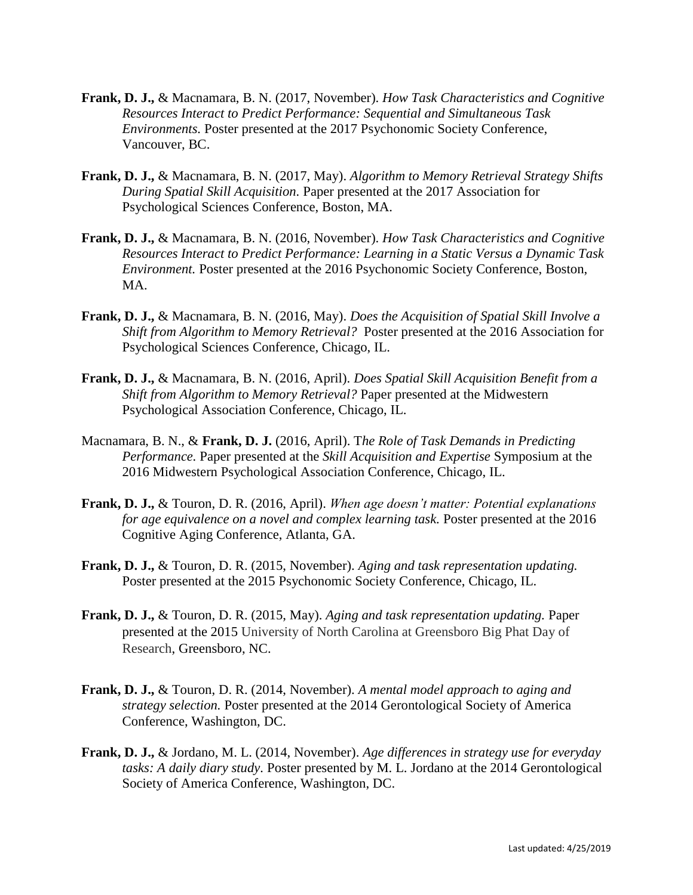- **Frank, D. J.,** & Macnamara, B. N. (2017, November). *How Task Characteristics and Cognitive Resources Interact to Predict Performance: Sequential and Simultaneous Task Environments.* Poster presented at the 2017 Psychonomic Society Conference, Vancouver, BC.
- **Frank, D. J.,** & Macnamara, B. N. (2017, May). *Algorithm to Memory Retrieval Strategy Shifts During Spatial Skill Acquisition.* Paper presented at the 2017 Association for Psychological Sciences Conference, Boston, MA.
- **Frank, D. J.,** & Macnamara, B. N. (2016, November). *How Task Characteristics and Cognitive Resources Interact to Predict Performance: Learning in a Static Versus a Dynamic Task Environment.* Poster presented at the 2016 Psychonomic Society Conference, Boston, MA.
- **Frank, D. J.,** & Macnamara, B. N. (2016, May). *Does the Acquisition of Spatial Skill Involve a Shift from Algorithm to Memory Retrieval?* Poster presented at the 2016 Association for Psychological Sciences Conference, Chicago, IL.
- **Frank, D. J.,** & Macnamara, B. N. (2016, April). *Does Spatial Skill Acquisition Benefit from a Shift from Algorithm to Memory Retrieval?* Paper presented at the Midwestern Psychological Association Conference, Chicago, IL.
- Macnamara, B. N., & **Frank, D. J.** (2016, April). T*he Role of Task Demands in Predicting Performance.* Paper presented at the *Skill Acquisition and Expertise* Symposium at the 2016 Midwestern Psychological Association Conference, Chicago, IL.
- **Frank, D. J.,** & Touron, D. R. (2016, April). *When age doesn't matter: Potential explanations for age equivalence on a novel and complex learning task.* Poster presented at the 2016 Cognitive Aging Conference, Atlanta, GA.
- **Frank, D. J.,** & Touron, D. R. (2015, November). *Aging and task representation updating.*  Poster presented at the 2015 Psychonomic Society Conference, Chicago, IL.
- **Frank, D. J.,** & Touron, D. R. (2015, May). *Aging and task representation updating.* Paper presented at the 2015 University of North Carolina at Greensboro Big Phat Day of Research, Greensboro, NC.
- **Frank, D. J.,** & Touron, D. R. (2014, November). *A mental model approach to aging and strategy selection.* Poster presented at the 2014 Gerontological Society of America Conference, Washington, DC.
- **Frank, D. J.,** & Jordano, M. L. (2014, November). *Age differences in strategy use for everyday tasks: A daily diary study.* Poster presented by M. L. Jordano at the 2014 Gerontological Society of America Conference, Washington, DC.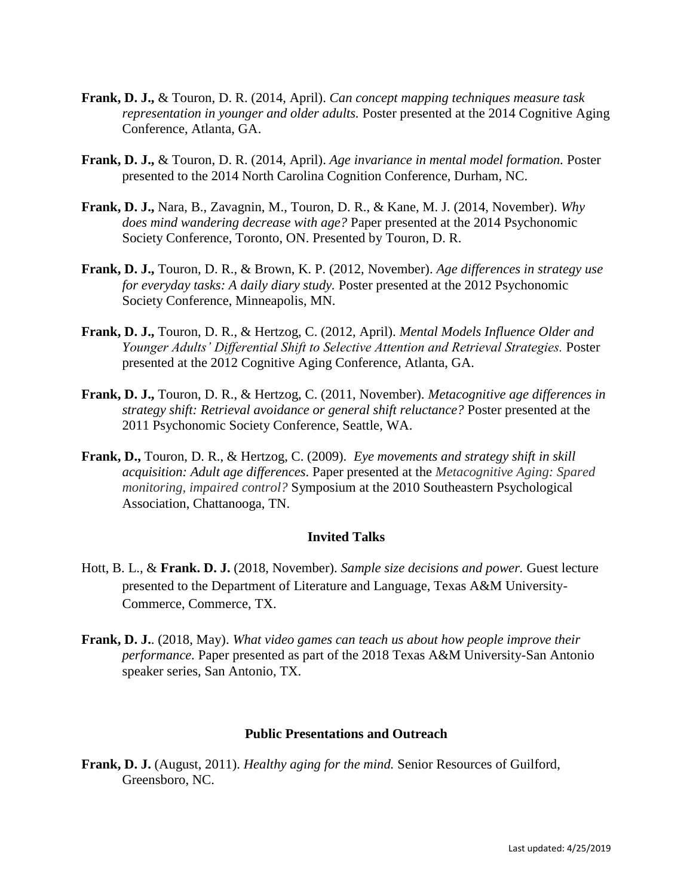- **Frank, D. J.,** & Touron, D. R. (2014, April). *Can concept mapping techniques measure task representation in younger and older adults.* Poster presented at the 2014 Cognitive Aging Conference, Atlanta, GA.
- **Frank, D. J.,** & Touron, D. R. (2014, April). *Age invariance in mental model formation.* Poster presented to the 2014 North Carolina Cognition Conference, Durham, NC.
- **Frank, D. J.,** Nara, B., Zavagnin, M., Touron, D. R., & Kane, M. J. (2014, November). *Why does mind wandering decrease with age?* Paper presented at the 2014 Psychonomic Society Conference, Toronto, ON. Presented by Touron, D. R.
- **Frank, D. J.,** Touron, D. R., & Brown, K. P. (2012, November). *Age differences in strategy use for everyday tasks: A daily diary study.* Poster presented at the 2012 Psychonomic Society Conference, Minneapolis, MN.
- **Frank, D. J.,** Touron, D. R., & Hertzog, C. (2012, April). *Mental Models Influence Older and Younger Adults' Differential Shift to Selective Attention and Retrieval Strategies.* Poster presented at the 2012 Cognitive Aging Conference, Atlanta, GA.
- **Frank, D. J.,** Touron, D. R., & Hertzog, C. (2011, November). *Metacognitive age differences in strategy shift: Retrieval avoidance or general shift reluctance?* Poster presented at the 2011 Psychonomic Society Conference, Seattle, WA.
- **Frank, D.,** Touron, D. R., & Hertzog, C. (2009). *Eye movements and strategy shift in skill acquisition: Adult age differences*. Paper presented at the *Metacognitive Aging: Spared monitoring, impaired control?* Symposium at the 2010 Southeastern Psychological Association, Chattanooga, TN.

### **Invited Talks**

- Hott, B. L., & **Frank. D. J.** (2018, November). *Sample size decisions and power.* Guest lecture presented to the Department of Literature and Language, Texas A&M University-Commerce, Commerce, TX.
- **Frank, D. J.**. (2018, May). *What video games can teach us about how people improve their performance.* Paper presented as part of the 2018 Texas A&M University-San Antonio speaker series, San Antonio, TX.

#### **Public Presentations and Outreach**

**Frank, D. J.** (August, 2011). *Healthy aging for the mind.* Senior Resources of Guilford, Greensboro, NC.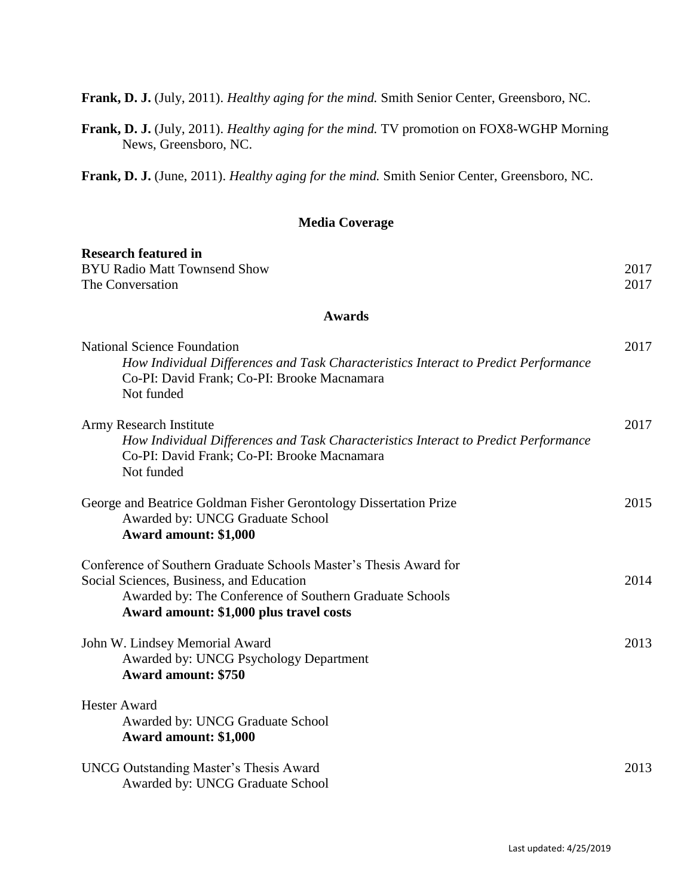**Frank, D. J.** (July, 2011). *Healthy aging for the mind.* Smith Senior Center, Greensboro, NC.

**Frank, D. J.** (July, 2011). *Healthy aging for the mind.* TV promotion on FOX8-WGHP Morning News, Greensboro, NC.

**Frank, D. J.** (June, 2011). *Healthy aging for the mind.* Smith Senior Center, Greensboro, NC.

## **Media Coverage**

| <b>Research featured in</b>                                                                                                                                                                                         |      |
|---------------------------------------------------------------------------------------------------------------------------------------------------------------------------------------------------------------------|------|
| <b>BYU Radio Matt Townsend Show</b>                                                                                                                                                                                 | 2017 |
| The Conversation                                                                                                                                                                                                    | 2017 |
| <b>Awards</b>                                                                                                                                                                                                       |      |
| <b>National Science Foundation</b><br>How Individual Differences and Task Characteristics Interact to Predict Performance<br>Co-PI: David Frank; Co-PI: Brooke Macnamara<br>Not funded                              | 2017 |
| Army Research Institute<br>How Individual Differences and Task Characteristics Interact to Predict Performance<br>Co-PI: David Frank; Co-PI: Brooke Macnamara<br>Not funded                                         | 2017 |
| George and Beatrice Goldman Fisher Gerontology Dissertation Prize<br>Awarded by: UNCG Graduate School<br>Award amount: \$1,000                                                                                      | 2015 |
| Conference of Southern Graduate Schools Master's Thesis Award for<br>Social Sciences, Business, and Education<br>Awarded by: The Conference of Southern Graduate Schools<br>Award amount: \$1,000 plus travel costs | 2014 |
| John W. Lindsey Memorial Award<br>Awarded by: UNCG Psychology Department<br><b>Award amount: \$750</b>                                                                                                              | 2013 |
| <b>Hester Award</b><br>Awarded by: UNCG Graduate School<br>Award amount: \$1,000                                                                                                                                    |      |
| <b>UNCG Outstanding Master's Thesis Award</b><br>Awarded by: UNCG Graduate School                                                                                                                                   | 2013 |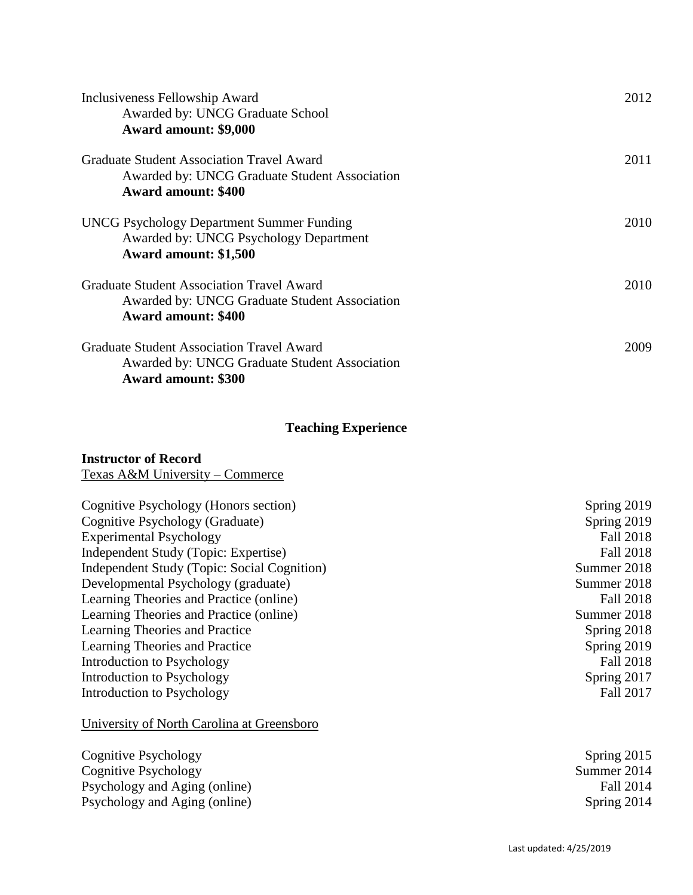| Inclusiveness Fellowship Award<br>Awarded by: UNCG Graduate School<br>Award amount: \$9,000                                     | 2012 |
|---------------------------------------------------------------------------------------------------------------------------------|------|
| <b>Graduate Student Association Travel Award</b><br>Awarded by: UNCG Graduate Student Association<br><b>Award amount: \$400</b> | 2011 |
| <b>UNCG Psychology Department Summer Funding</b><br>Awarded by: UNCG Psychology Department<br>Award amount: \$1,500             | 2010 |
| <b>Graduate Student Association Travel Award</b><br>Awarded by: UNCG Graduate Student Association<br><b>Award amount: \$400</b> | 2010 |
| Graduate Student Association Travel Award<br>Awarded by: UNCG Graduate Student Association<br><b>Award amount: \$300</b>        | 2009 |

## **Teaching Experience**

### **Instructor of Record**

Texas A&M University – Commerce

| Cognitive Psychology (Honors section)       | Spring 2019      |
|---------------------------------------------|------------------|
| Cognitive Psychology (Graduate)             | Spring 2019      |
| <b>Experimental Psychology</b>              | <b>Fall 2018</b> |
| Independent Study (Topic: Expertise)        | <b>Fall 2018</b> |
| Independent Study (Topic: Social Cognition) | Summer 2018      |
| Developmental Psychology (graduate)         | Summer 2018      |
| Learning Theories and Practice (online)     | <b>Fall 2018</b> |
| Learning Theories and Practice (online)     | Summer 2018      |
| Learning Theories and Practice              | Spring 2018      |
| Learning Theories and Practice              | Spring 2019      |
| Introduction to Psychology                  | <b>Fall 2018</b> |
| Introduction to Psychology                  | Spring 2017      |
| Introduction to Psychology                  | Fall 2017        |

# University of North Carolina at Greensboro

Cognitive Psychology<br>
Cognitive Psychology<br>
Spring 2015<br>
Summer 2014 Cognitive Psychology Psychology and Aging (online) Fall 2014<br>Psychology and Aging (online) Fall 2014<br>Spring 2014 Psychology and Aging (online)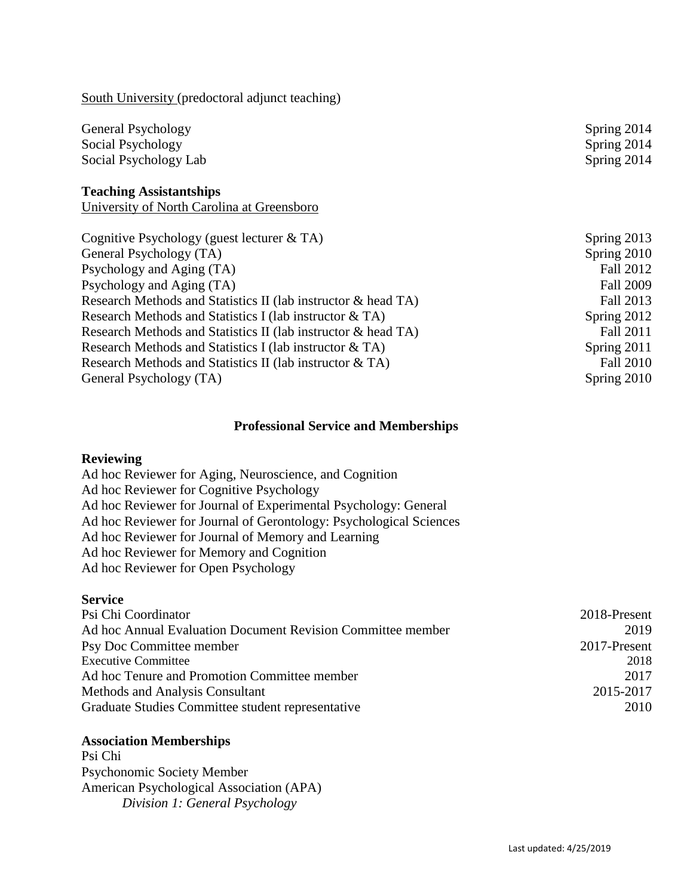| General Psychology<br>Social Psychology<br>Social Psychology Lab             |  |
|------------------------------------------------------------------------------|--|
| <b>Teaching Assistantships</b><br>University of North Carolina at Greensboro |  |

South University (predoctoral adjunct teaching)

| Cognitive Psychology (guest lecturer $&TA$ )                  | Spring 2013      |
|---------------------------------------------------------------|------------------|
| General Psychology (TA)                                       | Spring 2010      |
| Psychology and Aging (TA)                                     | Fall 2012        |
| Psychology and Aging (TA)                                     | <b>Fall 2009</b> |
| Research Methods and Statistics II (lab instructor & head TA) | Fall 2013        |
| Research Methods and Statistics I (lab instructor & TA)       | Spring 2012      |
| Research Methods and Statistics II (lab instructor & head TA) | Fall 2011        |
| Research Methods and Statistics I (lab instructor & TA)       | Spring 2011      |
| Research Methods and Statistics II (lab instructor & TA)      | <b>Fall 2010</b> |
| General Psychology (TA)                                       | Spring 2010      |

## **Professional Service and Memberships**

### **Reviewing**

Ad hoc Reviewer for Aging, Neuroscience, and Cognition Ad hoc Reviewer for Cognitive Psychology Ad hoc Reviewer for Journal of Experimental Psychology: General Ad hoc Reviewer for Journal of Gerontology: Psychological Sciences Ad hoc Reviewer for Journal of Memory and Learning Ad hoc Reviewer for Memory and Cognition Ad hoc Reviewer for Open Psychology

## **Service**

| Psi Chi Coordinator                                         | 2018-Present |
|-------------------------------------------------------------|--------------|
| Ad hoc Annual Evaluation Document Revision Committee member | 2019         |
| Psy Doc Committee member                                    | 2017-Present |
| <b>Executive Committee</b>                                  | 2018         |
| Ad hoc Tenure and Promotion Committee member                | 2017         |
| Methods and Analysis Consultant                             | 2015-2017    |
| Graduate Studies Committee student representative           | 2010         |

#### **Association Memberships**

Psi Chi Psychonomic Society Member American Psychological Association (APA) *Division 1: General Psychology*

Spring 2014 Spring 2014 Spring 2014